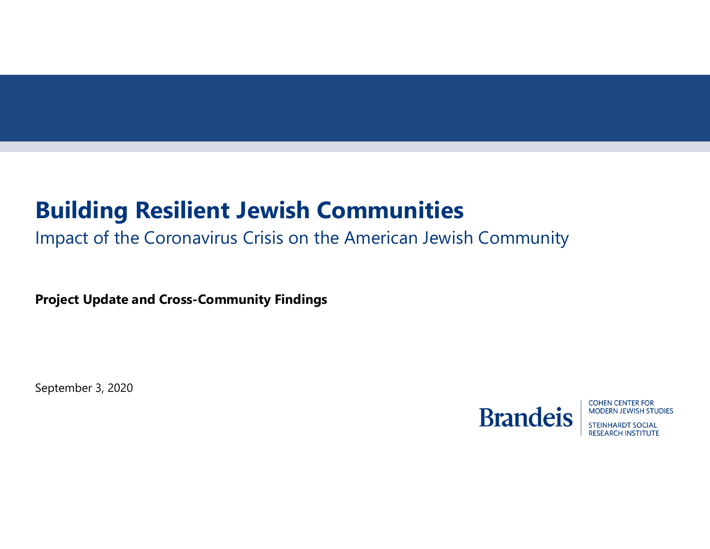# **Building Resilient Jewish Communities**

Impact of the Coronavirus Crisis on the American Jewish Community

**Project Update and Cross-Community Findings**

September 3, 2020



**COHEN CENTER FOR MODERN JEWISH STUDIES** 

**STEINHARDT SOCIAL RESEARCH INSTITUTE**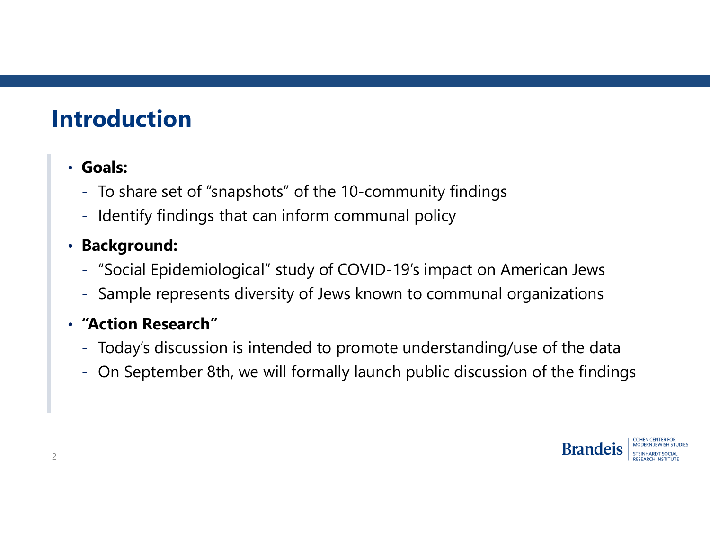# **Introduction**

#### • **Goals:**

- To share set of "snapshots" of the 10-community findings
- Identify findings that can inform communal policy

#### • **Background:**

- "Social Epidemiological" study of COVID-19's impact on American Jews
- Sample represents diversity of Jews known to communal organizations

#### • **"Action Research"**

- Today's discussion is intended to promote understanding/use of the data
- On September 8th, we will formally launch public discussion of the findings

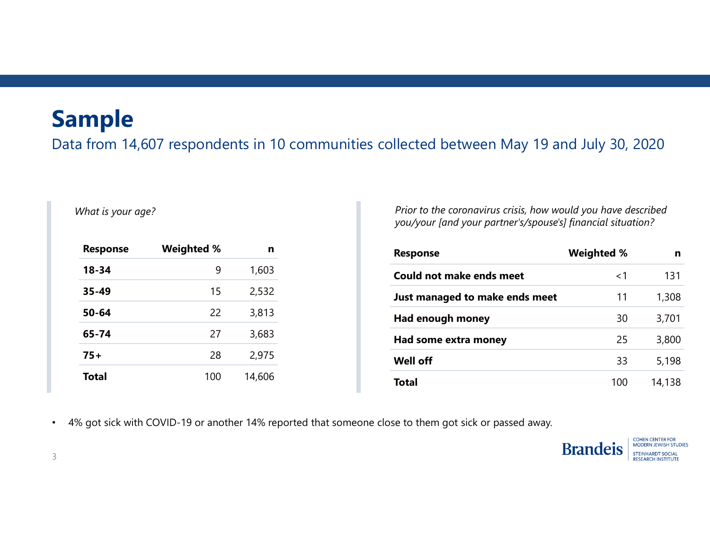#### **Sample**

Data from 14,607 respondents in 10 communities collected between May 19 and July 30, 2020

#### *What is your age?*

| <b>Response</b> | <b>Weighted %</b> | n      |
|-----------------|-------------------|--------|
| 18-34           | 9                 | 1,603  |
| $35 - 49$       | 15                | 2,532  |
| $50 - 64$       | 22                | 3,813  |
| 65-74           | 27                | 3,683  |
| 75+             | 28                | 2,975  |
| <b>Total</b>    | 100               | 14,606 |

*Prior to the coronavirus crisis, how would you have described you/your [and your partner's/spouse's] financial situation?*

| <b>Response</b>                | <b>Weighted %</b> | n      |
|--------------------------------|-------------------|--------|
| Could not make ends meet       | $<$ 1             | 131    |
| Just managed to make ends meet | 11                | 1,308  |
| Had enough money               | 30                | 3,701  |
| Had some extra money           | 25                | 3,800  |
| <b>Well off</b>                | 33                | 5,198  |
| <b>Total</b>                   | 100               | 14,138 |

•4% got sick with COVID-19 or another 14% reported that someone close to them got sick or passed away.



**COHEN CENTER FOR** MODERN JEWISH STUDIES **STEINHARDT SOCIAL RESEARCH INSTITUTE**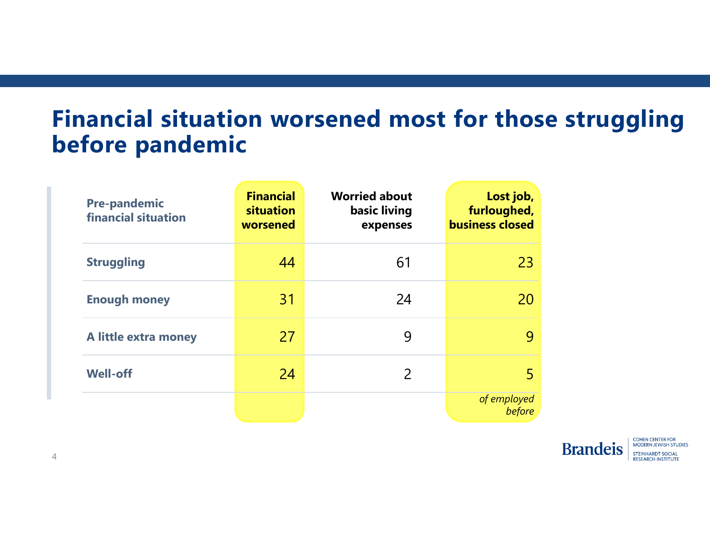## **Financial situation worsened most for those struggling before pandemic**

| <b>Pre-pandemic</b><br><b>financial situation</b> | <b>Financial</b><br>situation<br>worsened | <b>Worried about</b><br>basic living<br>expenses | Lost job,<br>furloughed,<br><b>business closed</b> |
|---------------------------------------------------|-------------------------------------------|--------------------------------------------------|----------------------------------------------------|
| <b>Struggling</b>                                 | 44                                        | 61                                               | 23                                                 |
| <b>Enough money</b>                               | 31                                        | 24                                               | 20                                                 |
| A little extra money                              | 27                                        | 9                                                | 9                                                  |
| <b>Well-off</b>                                   | 24                                        | $\mathcal{P}$                                    | 5                                                  |
|                                                   |                                           |                                                  | of employed<br>before                              |



**COHEN CENTER FOR** MODERN JEWISH STUDIES **STEINHARDT SOCIAL RESEARCH INSTITUTE**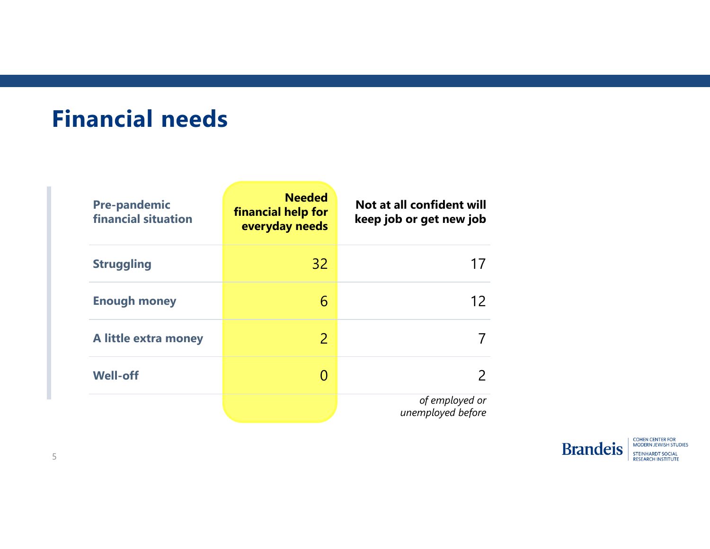#### **Financial needs**

| <b>Pre-pandemic</b><br><b>financial situation</b> | <b>Needed</b><br>financial help for<br>everyday needs | Not at all confident will<br>keep job or get new job |
|---------------------------------------------------|-------------------------------------------------------|------------------------------------------------------|
| <b>Struggling</b>                                 | 32                                                    |                                                      |
| <b>Enough money</b>                               | 6                                                     | 12                                                   |
| A little extra money                              | 2                                                     |                                                      |
| <b>Well-off</b>                                   |                                                       |                                                      |
|                                                   |                                                       | of employed or<br>unemployed before                  |



**COHEN CENTER FOR<br>MODERN JEWISH STUDIES** STEINHARDT SOCIAL<br>RESEARCH INSTITUTE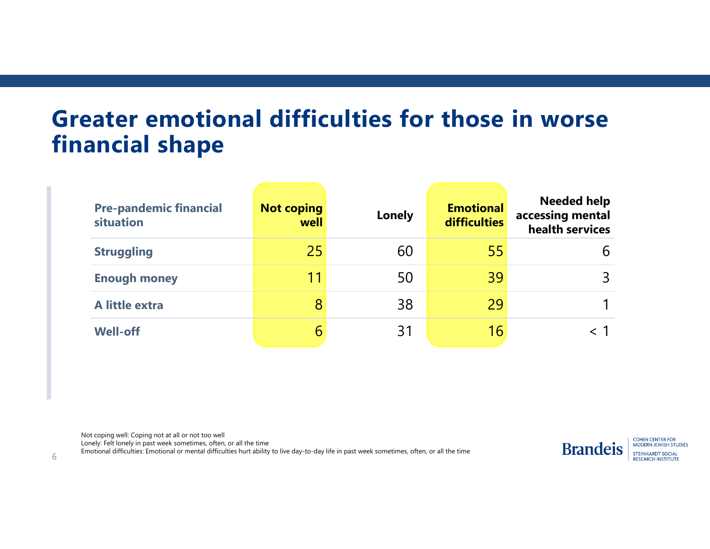### **Greater emotional difficulties for those in worse financial shape**

| <b>Pre-pandemic financial</b><br>situation | <b>Not coping</b><br>well | <b>Lonely</b> | <b>Emotional</b><br><b>difficulties</b> | <b>Needed help</b><br>accessing mental<br>health services |
|--------------------------------------------|---------------------------|---------------|-----------------------------------------|-----------------------------------------------------------|
| <b>Struggling</b>                          | 25                        | 60            | 55                                      | 6                                                         |
| <b>Enough money</b>                        | 11                        | 50            | 39                                      | 3                                                         |
| A little extra                             | 8                         | 38            | 29                                      |                                                           |
| <b>Well-off</b>                            | b                         | 31            | 16                                      |                                                           |

Not coping well: Coping not at all or not too well

Lonely: Felt lonely in past week sometimes, often, or all the time

Emotional difficulties: Emotional or mental difficulties hurt ability to live day-to-day life in past week sometimes, often, or all the time  $6$ 



**COHEN CENTER FOR** MODERN JEWISH STUDIES **STEINHARDT SOCIAL RESEARCH INSTITUTE**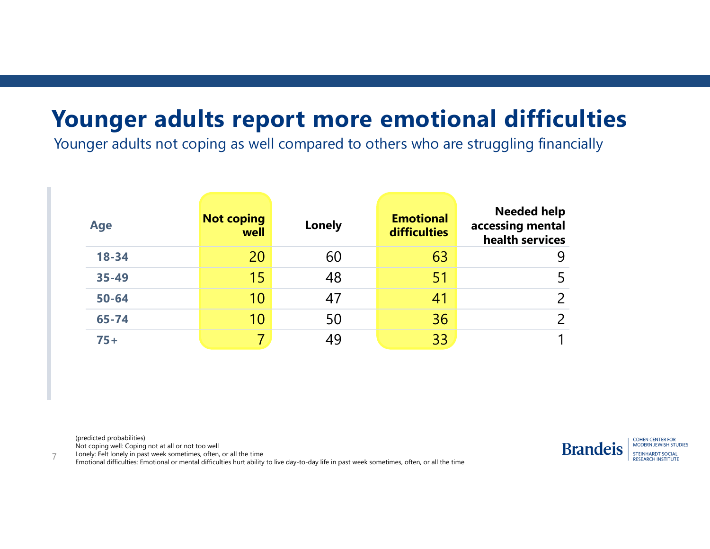#### **Younger adults report more emotional difficulties**

Younger adults not coping as well compared to others who are struggling financially

| <b>Age</b> | <b>Not coping</b><br>well | Lonely | <b>Emotional</b><br>difficulties | <b>Needed help</b><br>accessing mental<br>health services |
|------------|---------------------------|--------|----------------------------------|-----------------------------------------------------------|
| 18-34      | 20                        | 60     | 63                               |                                                           |
| $35 - 49$  | 15                        | 48     | 51                               |                                                           |
| $50 - 64$  | 10                        | 47     | 41                               |                                                           |
| $65 - 74$  | 10                        | 50     | 36                               |                                                           |
| $75+$      |                           | 49     | 33                               |                                                           |

(predicted probabilities)

Not coping well: Coping not at all or not too well Lonely: Felt lonely in past week sometimes, often, or all the time



**COHEN CENTER FOR** MODERN JEWISH STUDIES **STEINHARDT SOCIAL RESEARCH INSTITUTE** 

Emotional difficulties: Emotional or mental difficulties hurt ability to live day-to-day life in past week sometimes, often, or all the time 7<br>Emotional difficulties: Emotional or mental difficulties hurt ability to live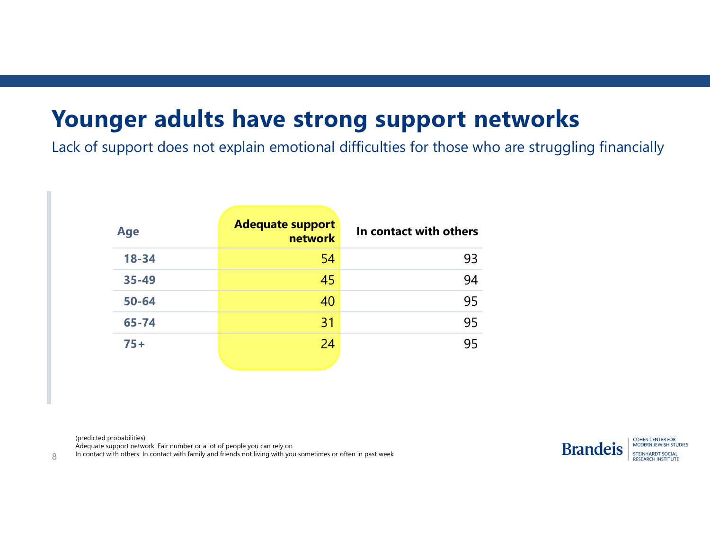## **Younger adults have strong support networks**

Lack of support does not explain emotional difficulties for those who are struggling financially

| <b>Age</b> | <b>Adequate support</b><br><b>network</b> | In contact with others |
|------------|-------------------------------------------|------------------------|
| $18 - 34$  | 54                                        | 93                     |
| 35-49      | 45                                        | 94                     |
| $50 - 64$  | 40                                        | 95                     |
| $65 - 74$  | 31                                        | 95                     |
| $75+$      | 24                                        | 95                     |

(predicted probabilities)

Adequate support network: Fair number or a lot of people you can rely on

In contact with others: In contact with family and friends not living with you sometimes or often in past week

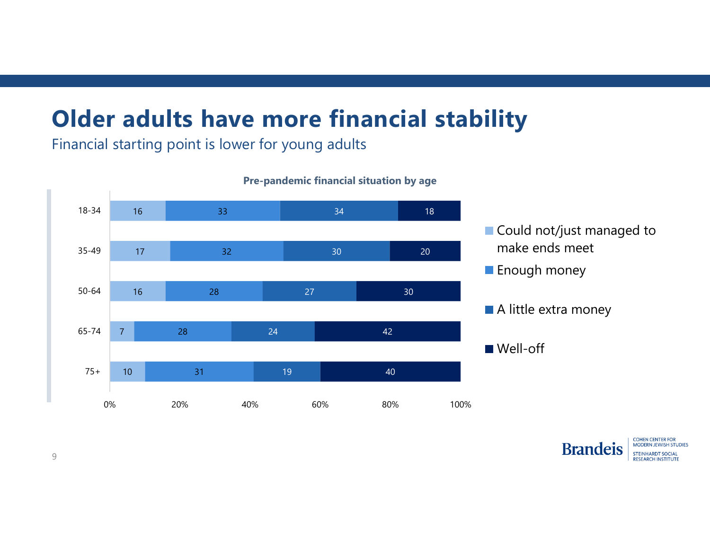# **Older adults have more financial stability**

Financial starting point is lower for young adults



**Pre-pandemic financial situation by age**

Could not/just managed to make ends meet

**Enough money** 



■ Well-off



**COHEN CENTER FOR** MODERN JEWISH STUDIES **STEINHARDT SOCIAL RESEARCH INSTITUTE**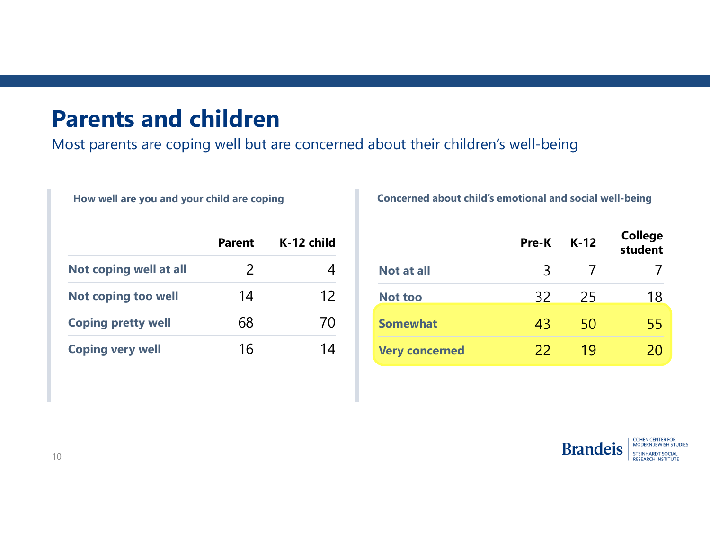#### **Parents and children**

Most parents are coping well but are concerned about their children's well-being

|                            | <b>Parent</b> | K-12 child |
|----------------------------|---------------|------------|
| Not coping well at all     | $\mathcal{P}$ |            |
| <b>Not coping too well</b> | 14            | 12         |
| <b>Coping pretty well</b>  | 68            | 70         |
| <b>Coping very well</b>    | 16            |            |

**How well are you and your child are coping Concerned about child's emotional and social well-being**

|                       | <b>Pre-K</b> | $K-12$ | <b>College</b><br>student |
|-----------------------|--------------|--------|---------------------------|
| <b>Not at all</b>     |              |        |                           |
| <b>Not too</b>        | 32           | 25     | 18                        |
| <b>Somewhat</b>       | 43           | 50     |                           |
| <b>Very concerned</b> | 22           | 1 Q    |                           |



**COHEN CENTER FOR<br>MODERN JEWISH STUDIES STEINHARDT SOCIAL RESEARCH INSTITUTE**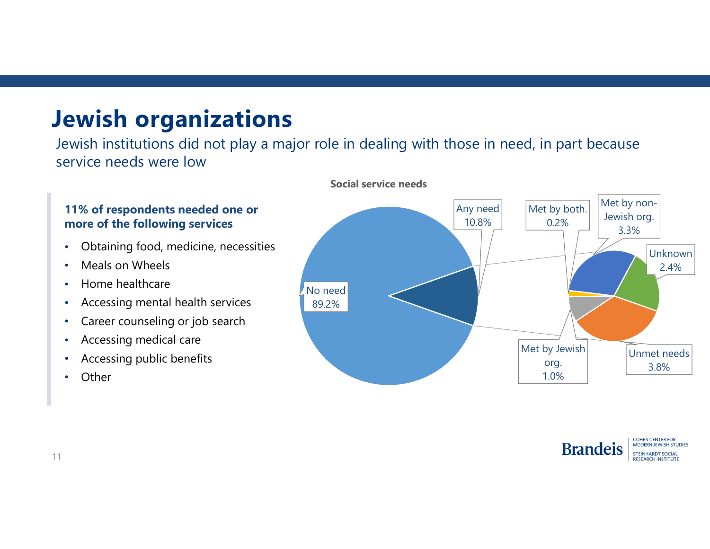# **Jewish organizations**

Jewish institutions did not play a major role in dealing with those in need, in part because service needs were low

#### **11% of respondents needed one or more of the following services**

- •Obtaining food, medicine, necessities
- •Meals on Wheels
- •Home healthcare
- •Accessing mental health services
- •Career counseling or job search
- •Accessing medical care
- •Accessing public benefits
- •**Other**



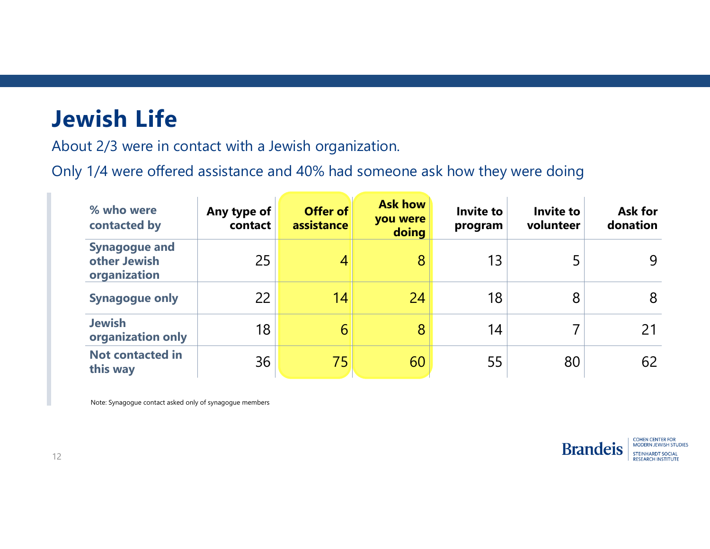# **Jewish Life**

About 2/3 were in contact with a Jewish organization.

Only 1/4 were offered assistance and 40% had someone ask how they were doing

| % who were<br>contacted by                           | Any type of<br>contact | Offer of<br>assistance | <b>Ask how</b><br>you were<br>doing | <b>Invite to</b><br>program | Invite to<br>volunteer | <b>Ask for</b><br>donation |
|------------------------------------------------------|------------------------|------------------------|-------------------------------------|-----------------------------|------------------------|----------------------------|
| <b>Synagogue and</b><br>other Jewish<br>organization | 25                     | 4                      | 8                                   | 13                          |                        | 9                          |
| <b>Synagogue only</b>                                | 22                     | 14                     | 24                                  | 18                          | 8                      | 8                          |
| <b>Jewish</b><br>organization only                   | 18                     | 6                      | 8                                   | 14                          |                        | 21                         |
| <b>Not contacted in</b><br>this way                  | 36                     | 75                     | 60                                  | 55                          | 80                     | 62                         |

Note: Synagogue contact asked only of synagogue members

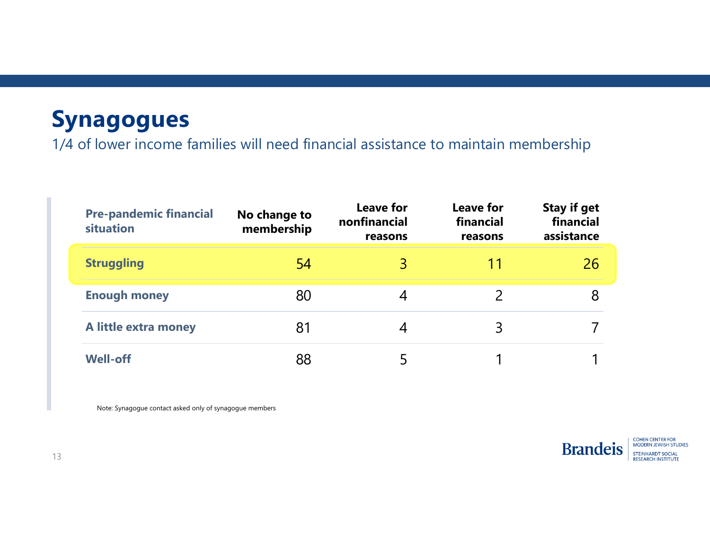# **Synagogues**

1/4 of lower income families will need financial assistance to maintain membership

| <b>Pre-pandemic financial</b><br>situation | No change to<br>membership | <b>Leave for</b><br>nonfinancial<br>reasons | <b>Leave for</b><br>financial<br>reasons | <b>Stay if get</b><br>financial<br>assistance |
|--------------------------------------------|----------------------------|---------------------------------------------|------------------------------------------|-----------------------------------------------|
| <b>Struggling</b>                          | 54                         |                                             |                                          | 26                                            |
| <b>Enough money</b>                        | 80                         |                                             |                                          |                                               |
| A little extra money                       | 81                         |                                             |                                          |                                               |
| <b>Well-off</b>                            | 88                         |                                             |                                          |                                               |

Note: Synagogue contact asked only of synagogue members



**COHEN CENTER FOR<br>MODERN JEWISH STUDIES STEINHARDT SOCIAL RESEARCH INSTITUTE**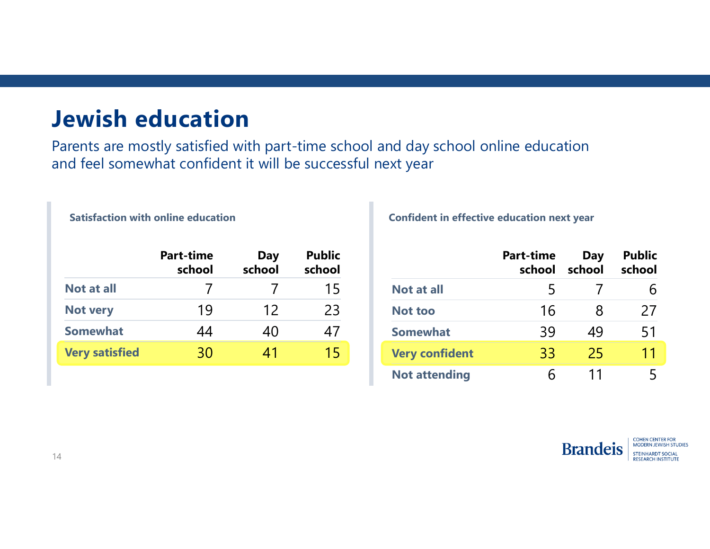#### **Jewish education**

**Satisfaction with online education**

Parents are mostly satisfied with part-time school and day school online education and feel somewhat confident it will be successful next year

|                       | <b>Part-time</b><br>school | <b>Day</b><br>school | <b>Public</b><br>school |
|-----------------------|----------------------------|----------------------|-------------------------|
| <b>Not at all</b>     |                            |                      | 15                      |
| <b>Not very</b>       | 19                         | 12                   | 23                      |
| <b>Somewhat</b>       | 44                         | 40                   | 47                      |
| <b>Very satisfied</b> | 30)                        | 41                   |                         |

**Confident in effective education next year** 

|                       | Part-time<br>school | Day<br>school | <b>Public</b><br>school |
|-----------------------|---------------------|---------------|-------------------------|
| <b>Not at all</b>     | Ь                   |               |                         |
| <b>Not too</b>        | 16                  | 8             | 27                      |
| <b>Somewhat</b>       | 39                  | 49            | 51                      |
| <b>Very confident</b> | 33                  | 25            | 11                      |
| <b>Not attending</b>  |                     | 11            |                         |

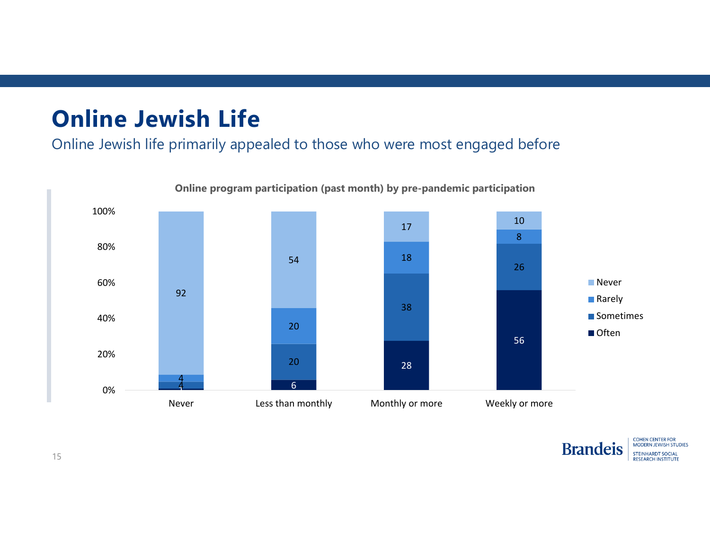# **Online Jewish Life**

Online Jewish life primarily appealed to those who were most engaged before



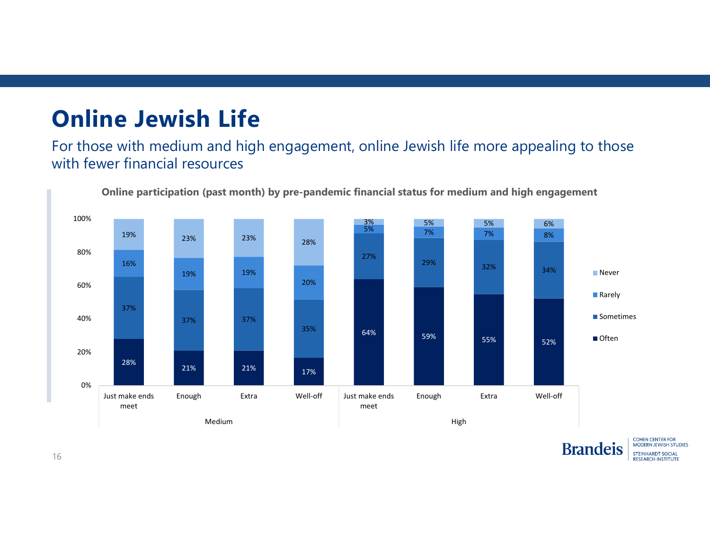# **Online Jewish Life**

For those with medium and high engagement, online Jewish life more appealing to those with fewer financial resources



**COHEN CENTER FOR** MODERN JEWISH STUDIES **STEINHARDT SOCIAL RESEARCH INSTITUTE** 

**Brandeis**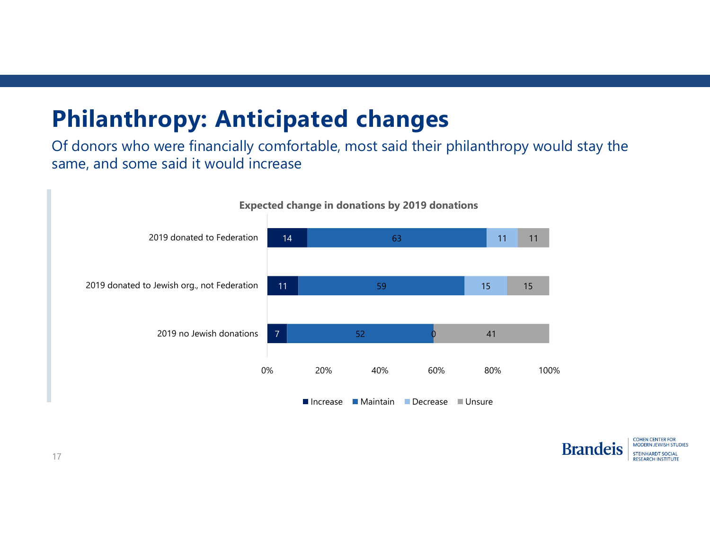# **Philanthropy: Anticipated changes**

Of donors who were financially comfortable, most said their philanthropy would stay the same, and some said it would increase



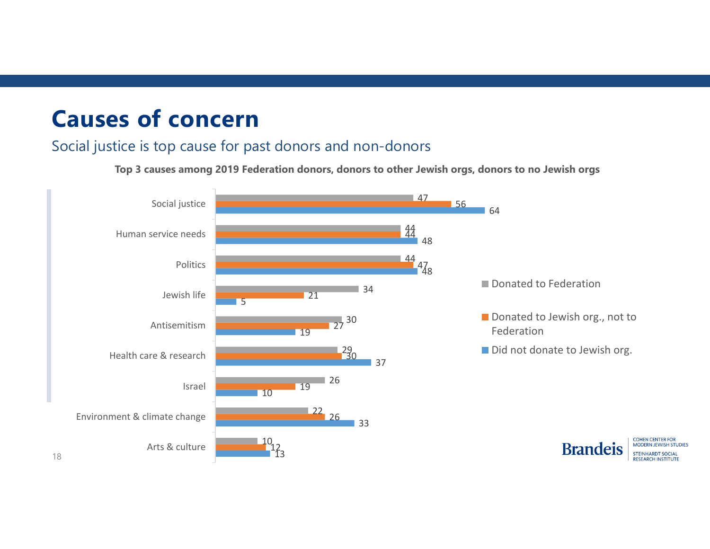## **Causes of concern**

#### Social justice is top cause for past donors and non-donors

**Top 3 causes among 2019 Federation donors, donors to other Jewish orgs, donors to no Jewish orgs** 

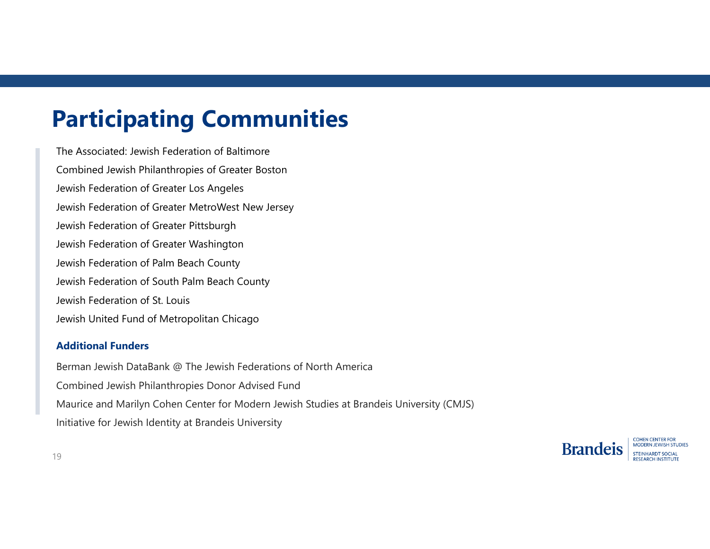# **Participating Communities**

The Associated: Jewish Federation of BaltimoreCombined Jewish Philanthropies of Greater Boston Jewish Federation of Greater Los Angeles Jewish Federation of Greater MetroWest New Jersey Jewish Federation of Greater Pittsburgh Jewish Federation of Greater Washington Jewish Federation of Palm Beach County Jewish Federation of South Palm Beach County Jewish Federation of St. LouisJewish United Fund of Metropolitan Chicago

#### **Additional Funders**

Berman Jewish DataBank @ The Jewish Federations of North America Combined Jewish Philanthropies Donor Advised Fund Maurice and Marilyn Cohen Center for Modern Jewish Studies at Brandeis University (CMJS) Initiative for Jewish Identity at Brandeis University